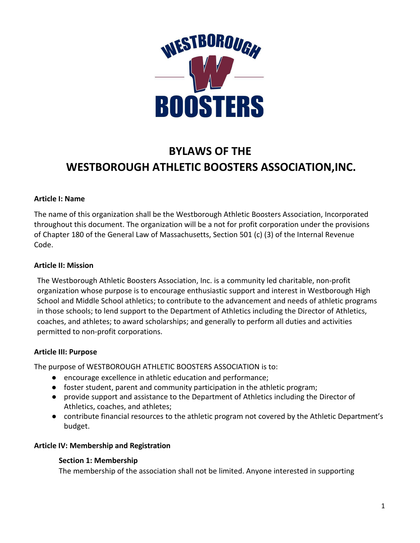

# **BYLAWS OF THE WESTBOROUGH ATHLETIC BOOSTERS ASSOCIATION,INC.**

## **Article I: Name**

The name of this organization shall be the Westborough Athletic Boosters Association, Incorporated throughout this document. The organization will be a not for profit corporation under the provisions of Chapter 180 of the General Law of Massachusetts, Section 501 (c) (3) of the Internal Revenue Code.

## **Article II: Mission**

The Westborough Athletic Boosters Association, Inc. is a community led charitable, non-profit organization whose purpose is to encourage enthusiastic support and interest in Westborough High School and Middle School athletics; to contribute to the advancement and needs of athletic programs in those schools; to lend support to the Department of Athletics including the Director of Athletics, coaches, and athletes; to award scholarships; and generally to perform all duties and activities permitted to non-profit corporations.

## **Article III: Purpose**

The purpose of WESTBOROUGH ATHLETIC BOOSTERS ASSOCIATION is to:

- encourage excellence in athletic education and performance;
- foster student, parent and community participation in the athletic program;
- provide support and assistance to the Department of Athletics including the Director of Athletics, coaches, and athletes;
- contribute financial resources to the athletic program not covered by the Athletic Department's budget.

## **Article IV: Membership and Registration**

## **Section 1: Membership**

The membership of the association shall not be limited. Anyone interested in supporting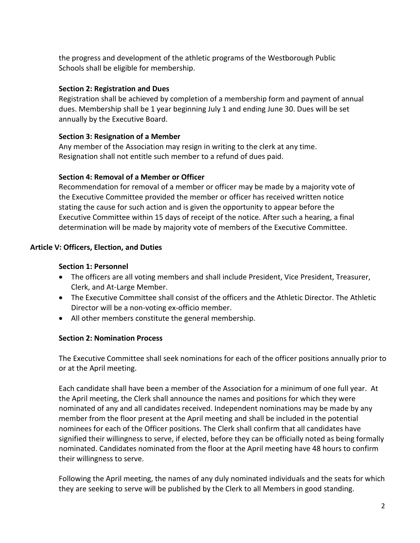the progress and development of the athletic programs of the Westborough Public Schools shall be eligible for membership.

## **Section 2: Registration and Dues**

Registration shall be achieved by completion of a membership form and payment of annual dues. Membership shall be 1 year beginning July 1 and ending June 30. Dues will be set annually by the Executive Board.

## **Section 3: Resignation of a Member**

Any member of the Association may resign in writing to the clerk at any time. Resignation shall not entitle such member to a refund of dues paid.

## **Section 4: Removal of a Member or Officer**

Recommendation for removal of a member or officer may be made by a majority vote of the Executive Committee provided the member or officer has received written notice stating the cause for such action and is given the opportunity to appear before the Executive Committee within 15 days of receipt of the notice. After such a hearing, a final determination will be made by majority vote of members of the Executive Committee.

# **Article V: Officers, Election, and Duties**

## **Section 1: Personnel**

- The officers are all voting members and shall include President, Vice President, Treasurer, Clerk, and At-Large Member.
- The Executive Committee shall consist of the officers and the Athletic Director. The Athletic Director will be a non-voting ex-officio member.
- All other members constitute the general membership.

## **Section 2: Nomination Process**

The Executive Committee shall seek nominations for each of the officer positions annually prior to or at the April meeting.

Each candidate shall have been a member of the Association for a minimum of one full year. At the April meeting, the Clerk shall announce the names and positions for which they were nominated of any and all candidates received. Independent nominations may be made by any member from the floor present at the April meeting and shall be included in the potential nominees for each of the Officer positions. The Clerk shall confirm that all candidates have signified their willingness to serve, if elected, before they can be officially noted as being formally nominated. Candidates nominated from the floor at the April meeting have 48 hours to confirm their willingness to serve.

Following the April meeting, the names of any duly nominated individuals and the seats for which they are seeking to serve will be published by the Clerk to all Members in good standing.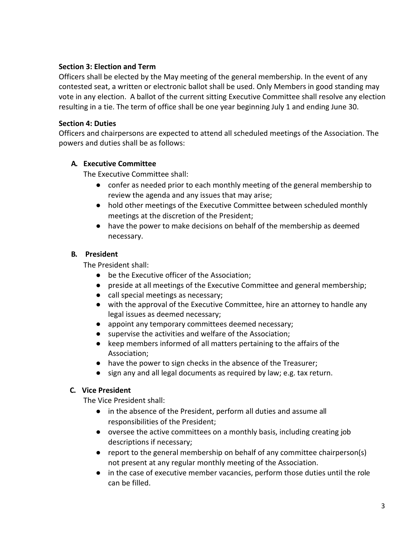## **Section 3: Election and Term**

Officers shall be elected by the May meeting of the general membership. In the event of any contested seat, a written or electronic ballot shall be used. Only Members in good standing may vote in any election. A ballot of the current sitting Executive Committee shall resolve any election resulting in a tie. The term of office shall be one year beginning July 1 and ending June 30.

# **Section 4: Duties**

Officers and chairpersons are expected to attend all scheduled meetings of the Association. The powers and duties shall be as follows:

# **A. Executive Committee**

The Executive Committee shall:

- confer as needed prior to each monthly meeting of the general membership to review the agenda and any issues that may arise;
- hold other meetings of the Executive Committee between scheduled monthly meetings at the discretion of the President;
- have the power to make decisions on behalf of the membership as deemed necessary.

# **B. President**

The President shall:

- be the Executive officer of the Association;
- preside at all meetings of the Executive Committee and general membership;
- call special meetings as necessary;
- with the approval of the Executive Committee, hire an attorney to handle any legal issues as deemed necessary;
- appoint any temporary committees deemed necessary;
- supervise the activities and welfare of the Association;
- keep members informed of all matters pertaining to the affairs of the Association;
- have the power to sign checks in the absence of the Treasurer;
- sign any and all legal documents as required by law; e.g. tax return.

# **C. Vice President**

The Vice President shall:

- in the absence of the President, perform all duties and assume all responsibilities of the President;
- oversee the active committees on a monthly basis, including creating job descriptions if necessary;
- report to the general membership on behalf of any committee chairperson(s) not present at any regular monthly meeting of the Association.
- in the case of executive member vacancies, perform those duties until the role can be filled.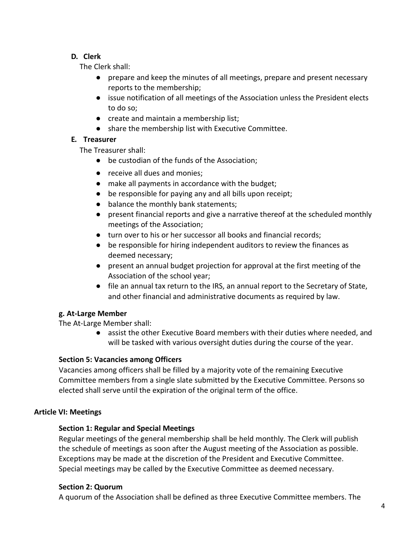# **D. Clerk**

The Clerk shall:

- prepare and keep the minutes of all meetings, prepare and present necessary reports to the membership;
- issue notification of all meetings of the Association unless the President elects to do so;
- create and maintain a membership list;
- share the membership list with Executive Committee.

# **E. Treasurer**

The Treasurer shall:

- be custodian of the funds of the Association;
- receive all dues and monies;
- make all payments in accordance with the budget;
- be responsible for paying any and all bills upon receipt;
- balance the monthly bank statements;
- present financial reports and give a narrative thereof at the scheduled monthly meetings of the Association;
- turn over to his or her successor all books and financial records;
- be responsible for hiring independent auditors to review the finances as deemed necessary;
- present an annual budget projection for approval at the first meeting of the Association of the school year;
- file an annual tax return to the IRS, an annual report to the Secretary of State, and other financial and administrative documents as required by law.

## **g. At-Large Member**

The At-Large Member shall:

● assist the other Executive Board members with their duties where needed, and will be tasked with various oversight duties during the course of the year.

# **Section 5: Vacancies among Officers**

Vacancies among officers shall be filled by a majority vote of the remaining Executive Committee members from a single slate submitted by the Executive Committee. Persons so elected shall serve until the expiration of the original term of the office.

# **Article VI: Meetings**

# **Section 1: Regular and Special Meetings**

Regular meetings of the general membership shall be held monthly. The Clerk will publish the schedule of meetings as soon after the August meeting of the Association as possible. Exceptions may be made at the discretion of the President and Executive Committee. Special meetings may be called by the Executive Committee as deemed necessary.

## **Section 2: Quorum**

A quorum of the Association shall be defined as three Executive Committee members. The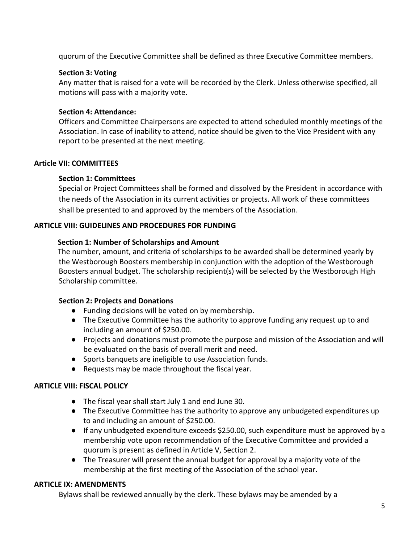quorum of the Executive Committee shall be defined as three Executive Committee members.

## **Section 3: Voting**

Any matter that is raised for a vote will be recorded by the Clerk. Unless otherwise specified, all motions will pass with a majority vote.

## **Section 4: Attendance:**

Officers and Committee Chairpersons are expected to attend scheduled monthly meetings of the Association. In case of inability to attend, notice should be given to the Vice President with any report to be presented at the next meeting.

## **Article VII: COMMITTEES**

## **Section 1: Committees**

Special or Project Committees shall be formed and dissolved by the President in accordance with the needs of the Association in its current activities or projects. All work of these committees shall be presented to and approved by the members of the Association.

## **ARTICLE VIII: GUIDELINES AND PROCEDURES FOR FUNDING**

## **Section 1: Number of Scholarships and Amount**

The number, amount, and criteria of scholarships to be awarded shall be determined yearly by the Westborough Boosters membership in conjunction with the adoption of the Westborough Boosters annual budget. The scholarship recipient(s) will be selected by the Westborough High Scholarship committee.

## **Section 2: Projects and Donations**

- Funding decisions will be voted on by membership.
- The Executive Committee has the authority to approve funding any request up to and including an amount of \$250.00.
- Projects and donations must promote the purpose and mission of the Association and will be evaluated on the basis of overall merit and need.
- Sports banquets are ineligible to use Association funds.
- Requests may be made throughout the fiscal year.

## **ARTICLE VIII: FISCAL POLICY**

- The fiscal year shall start July 1 and end June 30.
- The Executive Committee has the authority to approve any unbudgeted expenditures up to and including an amount of \$250.00.
- If any unbudgeted expenditure exceeds \$250.00, such expenditure must be approved by a membership vote upon recommendation of the Executive Committee and provided a quorum is present as defined in Article V, Section 2.
- The Treasurer will present the annual budget for approval by a majority vote of the membership at the first meeting of the Association of the school year.

## **ARTICLE IX: AMENDMENTS**

Bylaws shall be reviewed annually by the clerk. These bylaws may be amended by a